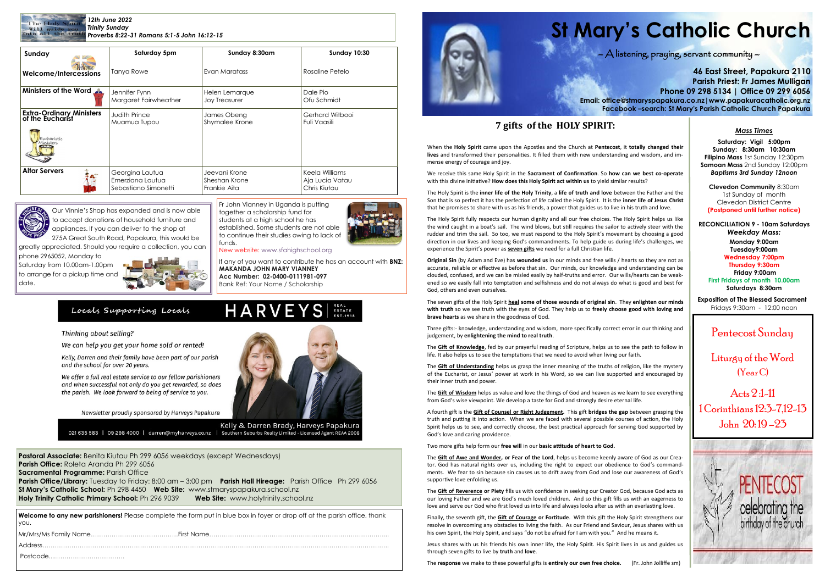### *12th June 2022 Trinity Sunday Proverbs 8:22-31 Romans 5:1-5 John 16:12-15*

**Pastoral Associate:** Benita Kiutau Ph 299 6056 weekdays (except Wednesdays) **Parish Office:** Roleta Aranda Ph 299 6056 **Sacramental Programme: Parish Office Parish Office/Library:** Tuesday to Friday: 8:00 am – 3:00 pm **Parish Hall Hireage:** Parish Office Ph 299 6056 **St Mary's Catholic School:** Ph 298 4450 **Web Site:** [www.stmaryspapakura.school.nz](http://www.stmaryspapakura.school.nz) **Holy Trinity Catholic Primary School:** Ph 296 9039 **Web Site:** www.holytrinity.school.nz

# **St Mary's Catholic Church**

### $\bigwedge$  listening, praying, servant community  $-$

**46 East Street, Papakura 2110 Parish Priest: Fr James Mulligan Phone 09 298 5134 | Office 09 299 6056 Email: office@stmaryspapakura.co.nz|www.papakuracatholic.org.nz Facebook –search: St Mary's Parish Catholic Church Papakura**

# Pentecost Sunday

Liturgy of the Word (Year C)

Acts 2 :1-11 1 Corinthians 12:3-7,12-13 John 20: 19 –23



| Sunday                                              | Saturday 5pm          | Sunday 8:30am  | <b>Sunday 10:30</b> |  |
|-----------------------------------------------------|-----------------------|----------------|---------------------|--|
| Welcome<br><b>Welcome/Intercessions</b>             | <b>Tanya Rowe</b>     | Evan Maratass  | Rosaline Petelo     |  |
| Ministers of the Word                               | Jennifer Fynn         | Helen Lemarque | Dale Pio            |  |
|                                                     | Margaret Fairwheather | Joy Treasurer  | Ofu Schmidt         |  |
| <b>Extra-Ordinary Ministers</b><br>of the Eucharist | <b>Judith Prince</b>  | James Obeng    | Gerhard Witbooi     |  |
| Eucharístíc<br>Mínísters                            | Muamua Tupou          | Shymalee Krone | Fuli Vaasili        |  |
| <b>Altar Servers</b>                                | Georgina Lautua       | Jeevani Krone  | Keela Williams      |  |
|                                                     | Emerziana Lautua      | Sheshan Krone  | Aja Lucia Vatau     |  |
|                                                     | Sebastiano Simonetti  | Frankie Aita   | Chris Kiutau        |  |



Fr John Vianney in Uganda is putting together a scholarship fund for students at a high school he has established. Some students are not able to continue their studies owing to lack of funds.



New website: www.sfahighschool.org

If any of you want to contribute he has an account with **BNZ: MAKANDA JOHN MARY VIANNEY Acc Number: 02-0400-0111981-097** Bank Ref: Your Name / Scholarship

## Locals Supporting Locals

### Thinking about selling?

We can help you get your home sold or rented!

Kelly, Darren and their family have been part of our parish and the school for over 20 years.

We offer a full real estate service to our fellow parishioners and when successful not only do you get rewarded, so does the parish. We look forward to being of service to you.

Newsletter proudly sponsored by Harveys Papakura



HARVEYS ESTATE

Kelly & Darren Brady, Harveys Papakura 021 635 583 | 09 298 4000 | darren@myharveys.co.nz | Southern Suburbs Realty Limited - Licensed Agent REAA 2008

**Welcome to any new parishioners!** Please complete the form put in blue box in foyer or drop off at the parish office, thank you.



### *Mass Times*

**Saturday: Vigil 5:00pm Sunday: 8:30am 10:30am Filipino Mass** 1st Sunday 12:30pm **Samoan Mass** 2nd Sunday 12:00pm *Baptisms 3rd Sunday 12noon*

**Clevedon Community** 8:30am 1st Sunday of month Clevedon District Centre **(Postponed until further notice)**

**RECONCILIATION 9 - 10am Saturdays** *Weekday Mass:* **Monday 9:00am Tuesday9:00am Wednesday 7:00pm Thursday 9:30am Friday 9:00am First Fridays of month 10.00am Saturdays 8:30am**

**Exposition of The Blessed Sacrament** Fridays 9:30am - 12:00 noon

Our Vinnie's Shop has expanded and is now able to accept donations of household furniture and appliances. If you can deliver to the shop at

> The **Gift of Wisdom** helps us value and love the things of God and heaven as we learn to see everything from God's wise viewpoint. We develop a taste for God and strongly desire eternal life.

275A Great South Road, Papakura, this would be greatly appreciated. Should you require a collection, you can

phone 2965052, Monday to Saturday from 10.00am-1.00pm to arrange for a pickup time and date.



# **7 gifts of the HOLY SPIRIT:**

When the **Holy Spirit** came upon the Apostles and the Church at **Pentecost**, it **totally changed their lives** and transformed their personalities. It filled them with new understanding and wisdom, and immense energy of courage and joy.

We receive this same Holy Spirit in the **Sacrament of Confirmation**. So **how can we best co-operate** with this divine initiative? **How does this Holy Spirit act within us** to yield similar results?

The Holy Spirit is the **inner life of the Holy Trinity**, a **life of truth and love** between the Father and the Son that is so perfect it has the perfection of life called the Holy Spirit. It is the **inner life of Jesus Christ** that he promises to share with us as his friends, a power that guides us to live in his truth and love.

The Holy Spirit fully respects our human dignity and all our free choices. The Holy Spirit helps us like the wind caught in a boat's sail. The wind blows, but still requires the sailor to actively steer with the rudder and trim the sail. So too, we must respond to the Holy Spirit's movement by choosing a good direction in our lives and keeping God's commandments. To help guide us during life's challenges, we experience the Spirit's power as **seven gifts** we need for a full Christian life.

**Original Sin** (by Adam and Eve) has **wounded us** in our minds and free wills / hearts so they are not as accurate, reliable or effective as before that sin. Our minds, our knowledge and understanding can be clouded, confused, and we can be misled easily by half-truths and error. Our wills/hearts can be weakened so we easily fall into temptation and selfishness and do not always do what is good and best for God, others and even ourselves.

The seven gifts of the Holy Spirit **heal some of those wounds of original sin**. They **enlighten our minds with truth** so we see truth with the eyes of God. They help us to **freely choose good with loving and brave hearts** as we share in the goodness of God.

Three gifts:- knowledge, understanding and wisdom, more specifically correct error in our thinking and judgement, by **enlightening the mind to real truth**.

The **Gift of Knowledge**, fed by our prayerful reading of Scripture, helps us to see the path to follow in life. It also helps us to see the temptations that we need to avoid when living our faith.

The **Gift of Understanding** helps us grasp the inner meaning of the truths of religion, like the mystery of the Eucharist, or Jesus' power at work in his Word, so we can live supported and encouraged by their inner truth and power.

A fourth gift is the **Gift of Counsel or Right Judgement.** This gift **bridges the gap** between grasping the truth and putting it into action. When we are faced with several possible courses of action, the Holy Spirit helps us to see, and correctly choose, the best practical approach for serving God supported by God's love and caring providence.

Two more gifts help form our **free will** in our **basic attitude of heart to God.**

The **Gift of Awe and Wonder, or Fear of the Lord**, helps us become keenly aware of God as our Creator. God has natural rights over us, including the right to expect our obedience to God's commandments. We fear to sin because sin causes us to drift away from God and lose our awareness of God's supportive love enfolding us.

The **Gift of Reverence or Piety** fills us with confidence in seeking our Creator God, because God acts as our loving Father and we are God's much loved children. And so this gift fills us with an eagerness to love and serve our God who first loved us into life and always looks after us with an everlasting love.

Finally, the seventh gift, the **Gift of Courage or Fortitude**. With this gift the Holy Spirit strengthens our resolve in overcoming any obstacles to living the faith. As our Friend and Saviour, Jesus shares with us his own Spirit, the Holy Spirit, and says "do not be afraid for I am with you." And he means it.

Jesus shares with us his friends his own inner life, the Holy Spirit. His Spirit lives in us and guides us through seven gifts to live by **truth** and **love**.

The **response** we make to these powerful gifts is **entirely our own free choice.** (Fr. John Jolliffe sm)